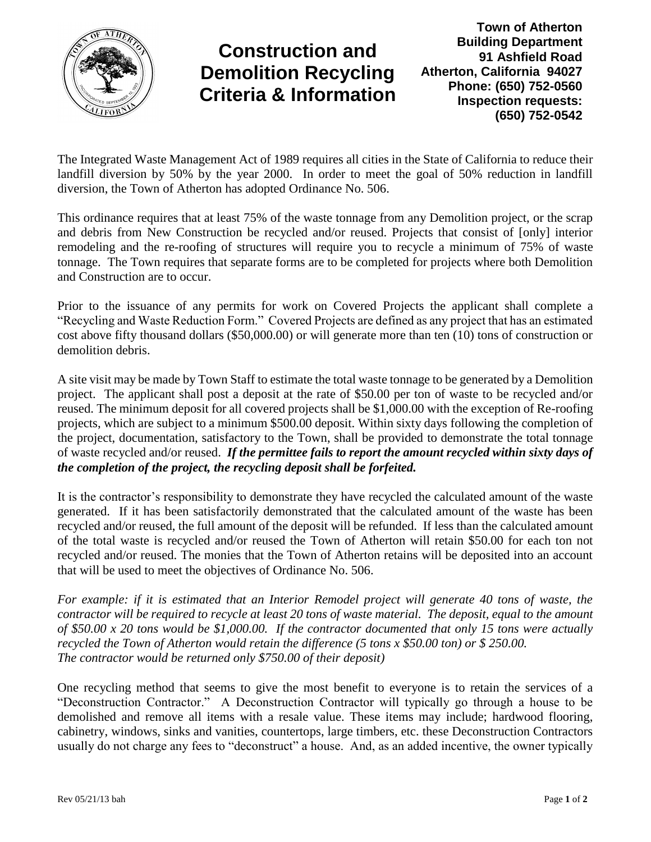

## **Construction and Demolition Recycling Criteria & Information**

**Town of Atherton Building Department 91 Ashfield Road Atherton, California 94027 Phone: (650) 752-0560 Inspection requests: (650) 752-0542**

The Integrated Waste Management Act of 1989 requires all cities in the State of California to reduce their landfill diversion by 50% by the year 2000. In order to meet the goal of 50% reduction in landfill diversion, the Town of Atherton has adopted Ordinance No. 506.

This ordinance requires that at least 75% of the waste tonnage from any Demolition project, or the scrap and debris from New Construction be recycled and/or reused. Projects that consist of [only] interior remodeling and the re-roofing of structures will require you to recycle a minimum of 75% of waste tonnage. The Town requires that separate forms are to be completed for projects where both Demolition and Construction are to occur.

Prior to the issuance of any permits for work on Covered Projects the applicant shall complete a "Recycling and Waste Reduction Form." Covered Projects are defined as any project that has an estimated cost above fifty thousand dollars (\$50,000.00) or will generate more than ten (10) tons of construction or demolition debris.

A site visit may be made by Town Staff to estimate the total waste tonnage to be generated by a Demolition project. The applicant shall post a deposit at the rate of \$50.00 per ton of waste to be recycled and/or reused. The minimum deposit for all covered projects shall be \$1,000.00 with the exception of Re-roofing projects, which are subject to a minimum \$500.00 deposit. Within sixty days following the completion of the project, documentation, satisfactory to the Town, shall be provided to demonstrate the total tonnage of waste recycled and/or reused. *If the permittee fails to report the amount recycled within sixty days of the completion of the project, the recycling deposit shall be forfeited.*

It is the contractor's responsibility to demonstrate they have recycled the calculated amount of the waste generated. If it has been satisfactorily demonstrated that the calculated amount of the waste has been recycled and/or reused, the full amount of the deposit will be refunded. If less than the calculated amount of the total waste is recycled and/or reused the Town of Atherton will retain \$50.00 for each ton not recycled and/or reused. The monies that the Town of Atherton retains will be deposited into an account that will be used to meet the objectives of Ordinance No. 506.

*For example: if it is estimated that an Interior Remodel project will generate 40 tons of waste, the contractor will be required to recycle at least 20 tons of waste material. The deposit, equal to the amount of \$50.00 x 20 tons would be \$1,000.00. If the contractor documented that only 15 tons were actually recycled the Town of Atherton would retain the difference (5 tons x \$50.00 ton) or \$ 250.00. The contractor would be returned only \$750.00 of their deposit)*

One recycling method that seems to give the most benefit to everyone is to retain the services of a "Deconstruction Contractor." A Deconstruction Contractor will typically go through a house to be demolished and remove all items with a resale value. These items may include; hardwood flooring, cabinetry, windows, sinks and vanities, countertops, large timbers, etc. these Deconstruction Contractors usually do not charge any fees to "deconstruct" a house. And, as an added incentive, the owner typically